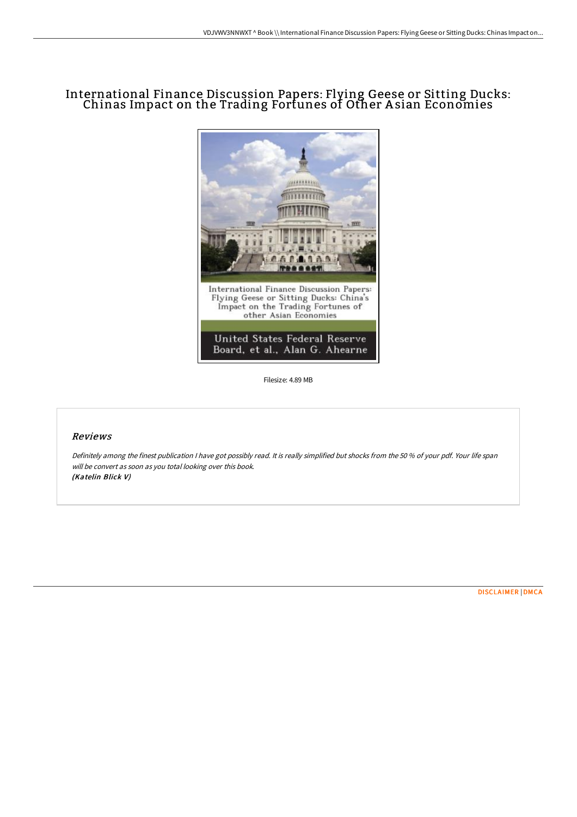# International Finance Discussion Papers: Flying Geese or Sitting Ducks: Chinas Impact on the Trading Fortunes of Other A sian Economies



Filesize: 4.89 MB

### Reviews

Definitely among the finest publication <sup>I</sup> have got possibly read. It is really simplified but shocks from the <sup>50</sup> % of your pdf. Your life span will be convert as soon as you total looking over this book. (Katelin Blick V)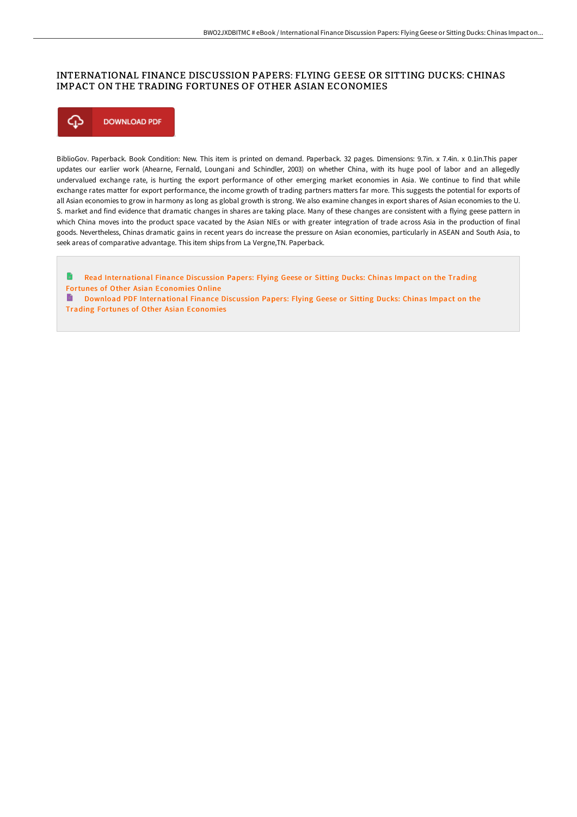## INTERNATIONAL FINANCE DISCUSSION PAPERS: FLYING GEESE OR SITTING DUCKS: CHINAS IMPACT ON THE TRADING FORTUNES OF OTHER ASIAN ECONOMIES



BiblioGov. Paperback. Book Condition: New. This item is printed on demand. Paperback. 32 pages. Dimensions: 9.7in. x 7.4in. x 0.1in.This paper updates our earlier work (Ahearne, Fernald, Loungani and Schindler, 2003) on whether China, with its huge pool of labor and an allegedly undervalued exchange rate, is hurting the export performance of other emerging market economies in Asia. We continue to find that while exchange rates matter for export performance, the income growth of trading partners matters far more. This suggests the potential for exports of all Asian economies to grow in harmony as long as global growth is strong. We also examine changes in export shares of Asian economies to the U. S. market and find evidence that dramatic changes in shares are taking place. Many of these changes are consistent with a flying geese pattern in which China moves into the product space vacated by the Asian NIEs or with greater integration of trade across Asia in the production of final goods. Nevertheless, Chinas dramatic gains in recent years do increase the pressure on Asian economies, particularly in ASEAN and South Asia, to seek areas of comparative advantage. This item ships from La Vergne,TN. Paperback.

**D** Read [International](http://albedo.media/international-finance-discussion-papers-flying-g.html) Finance Discussion Papers: Flying Geese or Sitting Ducks: Chinas Impact on the Trading Fortunes of Other Asian Economies Online

B Download PDF [International](http://albedo.media/international-finance-discussion-papers-flying-g.html) Finance Discussion Papers: Flying Geese or Sitting Ducks: Chinas Impact on the Trading Fortunes of Other Asian Economies